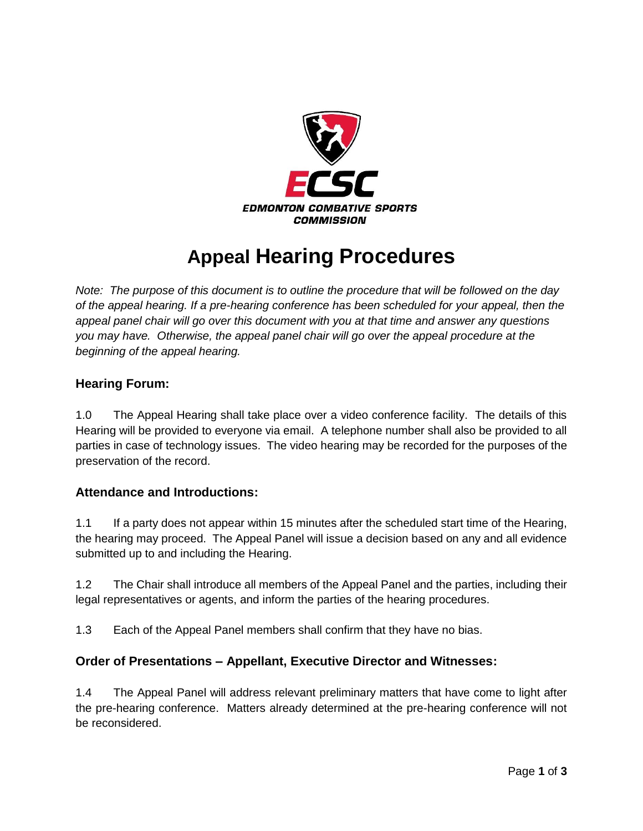

# **Appeal Hearing Procedures**

*Note: The purpose of this document is to outline the procedure that will be followed on the day of the appeal hearing. If a pre-hearing conference has been scheduled for your appeal, then the appeal panel chair will go over this document with you at that time and answer any questions you may have. Otherwise, the appeal panel chair will go over the appeal procedure at the beginning of the appeal hearing.* 

## **Hearing Forum:**

1.0 The Appeal Hearing shall take place over a video conference facility. The details of this Hearing will be provided to everyone via email. A telephone number shall also be provided to all parties in case of technology issues. The video hearing may be recorded for the purposes of the preservation of the record.

#### **Attendance and Introductions:**

1.1 If a party does not appear within 15 minutes after the scheduled start time of the Hearing, the hearing may proceed. The Appeal Panel will issue a decision based on any and all evidence submitted up to and including the Hearing.

1.2 The Chair shall introduce all members of the Appeal Panel and the parties, including their legal representatives or agents, and inform the parties of the hearing procedures.

1.3 Each of the Appeal Panel members shall confirm that they have no bias.

#### **Order of Presentations – Appellant, Executive Director and Witnesses:**

1.4 The Appeal Panel will address relevant preliminary matters that have come to light after the pre-hearing conference. Matters already determined at the pre-hearing conference will not be reconsidered.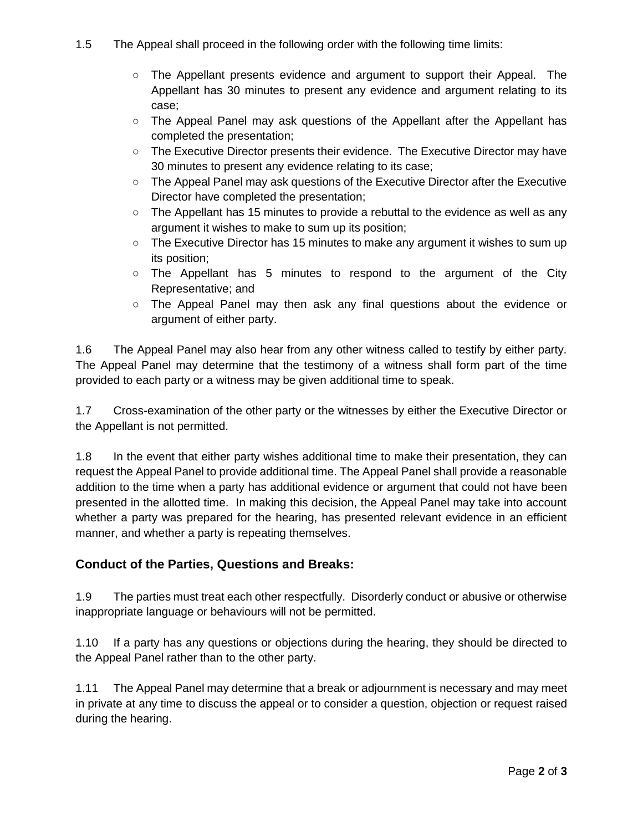- 1.5 The Appeal shall proceed in the following order with the following time limits:
	- The Appellant presents evidence and argument to support their Appeal. The Appellant has 30 minutes to present any evidence and argument relating to its case;
	- The Appeal Panel may ask questions of the Appellant after the Appellant has completed the presentation;
	- The Executive Director presents their evidence. The Executive Director may have 30 minutes to present any evidence relating to its case;
	- The Appeal Panel may ask questions of the Executive Director after the Executive Director have completed the presentation;
	- $\circ$  The Appellant has 15 minutes to provide a rebuttal to the evidence as well as any argument it wishes to make to sum up its position;
	- The Executive Director has 15 minutes to make any argument it wishes to sum up its position;
	- The Appellant has 5 minutes to respond to the argument of the City Representative; and
	- The Appeal Panel may then ask any final questions about the evidence or argument of either party.

1.6 The Appeal Panel may also hear from any other witness called to testify by either party. The Appeal Panel may determine that the testimony of a witness shall form part of the time provided to each party or a witness may be given additional time to speak.

1.7 Cross-examination of the other party or the witnesses by either the Executive Director or the Appellant is not permitted.

1.8 In the event that either party wishes additional time to make their presentation, they can request the Appeal Panel to provide additional time. The Appeal Panel shall provide a reasonable addition to the time when a party has additional evidence or argument that could not have been presented in the allotted time. In making this decision, the Appeal Panel may take into account whether a party was prepared for the hearing, has presented relevant evidence in an efficient manner, and whether a party is repeating themselves.

## **Conduct of the Parties, Questions and Breaks:**

1.9 The parties must treat each other respectfully. Disorderly conduct or abusive or otherwise inappropriate language or behaviours will not be permitted.

1.10 If a party has any questions or objections during the hearing, they should be directed to the Appeal Panel rather than to the other party.

1.11 The Appeal Panel may determine that a break or adjournment is necessary and may meet in private at any time to discuss the appeal or to consider a question, objection or request raised during the hearing.